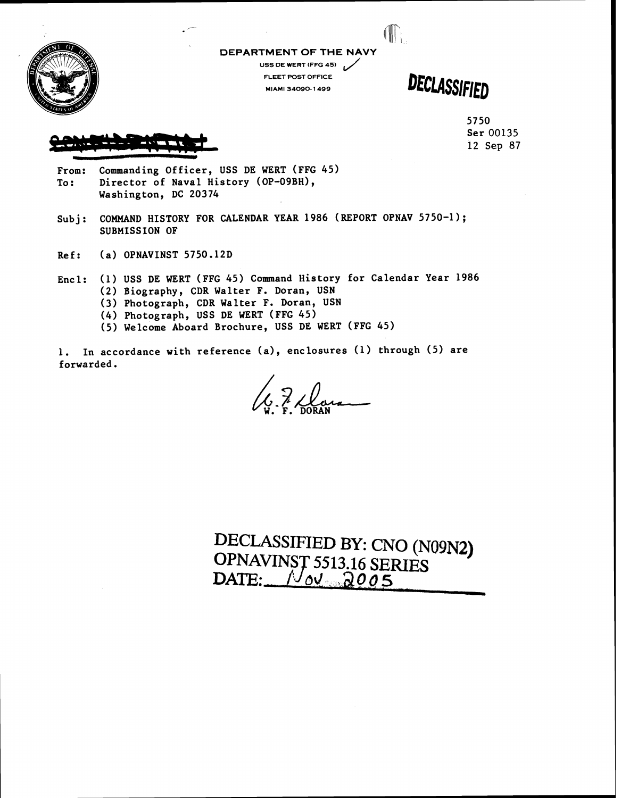

**DEPARTMENT OF THE NAVY USS DE WERT (FFG 45)** L/

**FLEET POST OFFICE MlkMI 34090- 1499** 

DECLASSIFIED

Œ

5750 Ser 00135 12 Sep **87** 

From: Commanding Officer, USS DE WERT (FFG 45) To: Director of Naval History (OP-09BH), Washington, DC 20374

- Subj: COMMAND HISTORY FOR CALENDAR YEAR 1986 (REPORT OPNAV 5750-1); SUBMISSION OF
- Ref: (a) OPNAVINST 5750.12D
- Encl: **(1)** USS DE WERT (FFG 45) Command History for Calendar Year 1986 **(2)** Biography, CDR Walter F. Doran, USN **(3)** Photograph, CDR Walter F. Doran, USN (4) Photograph, USS DE WERT (FFG 45)
	- (5) Welcome Aboard Brochure, USS DE WERT (FFG 45)

1. In accordance with reference (a), enclosures (1) through (5) are forwarded .

le 7 Dara

DECLASSIFIED BY: CNO (N09N2) OPNAVINST 5513.16 SERIES<br>DATE:  $\sqrt{\omega}$  2005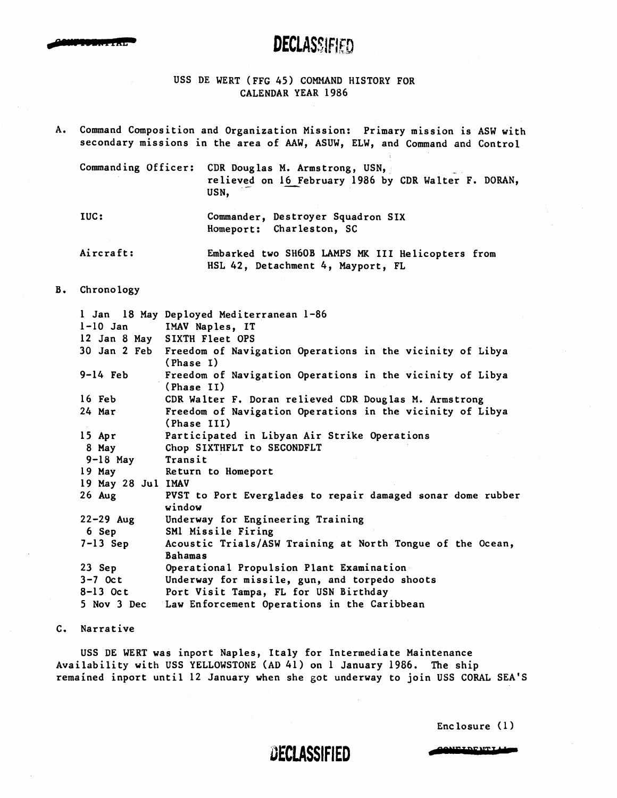

## **DECLASSIFIED**

## USS DE WERT (FFG **45)** COMMAND HISTORY FOR CALENDAR YEAR **1986**

**A.** Command Composition and Organization Mission: Primary mission is ASW with

| secondary missions in the area of AAW, ASUW, ELW, and Command and Control                                          |
|--------------------------------------------------------------------------------------------------------------------|
| Commanding Officer: CDR Douglas M. Armstrong, USN,<br>relieved on 16 February 1986 by CDR Walter F. DORAN,<br>USN. |
|                                                                                                                    |

- IUC : Commander, Destroyer Squadron SIX Homeport: Charleston, SC
- Aircraft: Embarked two **SH60B** LAMPS **MK 111** Helicopters from HSL 42, Detachment *4,* Mayport, FL

### B. Chronology

| $l-10$ Jan         | 1 Jan 18 May Deployed Mediterranean 1-86                                            |
|--------------------|-------------------------------------------------------------------------------------|
|                    | IMAV Naples, IT                                                                     |
|                    | 12 Jan 8 May SIXTH Fleet OPS                                                        |
|                    | 30 Jan 2 Feb Freedom of Navigation Operations in the vicinity of Libya<br>(Phase I) |
| $9-14$ Feb         | Freedom of Navigation Operations in the vicinity of Libya<br>(Phase II)             |
| $16$ Feb           | CDR Walter F. Doran relieved CDR Douglas M. Armstrong                               |
| 24 Mar             | Freedom of Navigation Operations in the vicinity of Libya<br>(Phase III)            |
| $15$ Apr           | Participated in Libyan Air Strike Operations                                        |
| 8 May              | Chop SIXTHFLT to SECONDFLT                                                          |
| $9-18$ May         | Transit                                                                             |
| $19$ May           | Return to Homeport                                                                  |
| 19 May 28 Jul IMAV |                                                                                     |
| $26$ Aug           | PVST to Port Everglades to repair damaged sonar dome rubber<br>window               |
| $22 - 29$ Aug      | Underway for Engineering Training                                                   |
| 6 Sep              | SMl Missile Firing                                                                  |
| $7-13$ Sep         | Acoustic Trials/ASW Training at North Tongue of the Ocean,                          |
|                    | <b>Bahamas</b>                                                                      |
| 23 Sep             | Operational Propulsion Plant Examination                                            |
| $3-7$ Oct          | Underway for missile, gun, and torpedo shoots                                       |
| $8-13$ Oct         | Port Visit Tampa, FL for USN Birthday                                               |
| 5 Nov 3 Dec        | Law Enforcement Operations in the Caribbean                                         |

### C. Narrative

USS DE WERT was inport Naples, Italy for Intermediate Maintenance Availability with USS YELLOWSTONE (AD **41)** on **1** January 1986. The ship remained inport until 12 January when she got underway to join USS CORAL SEA'S

Enclosure **(1)** 

## DECLASSIFIED

**CONFIDENTIA**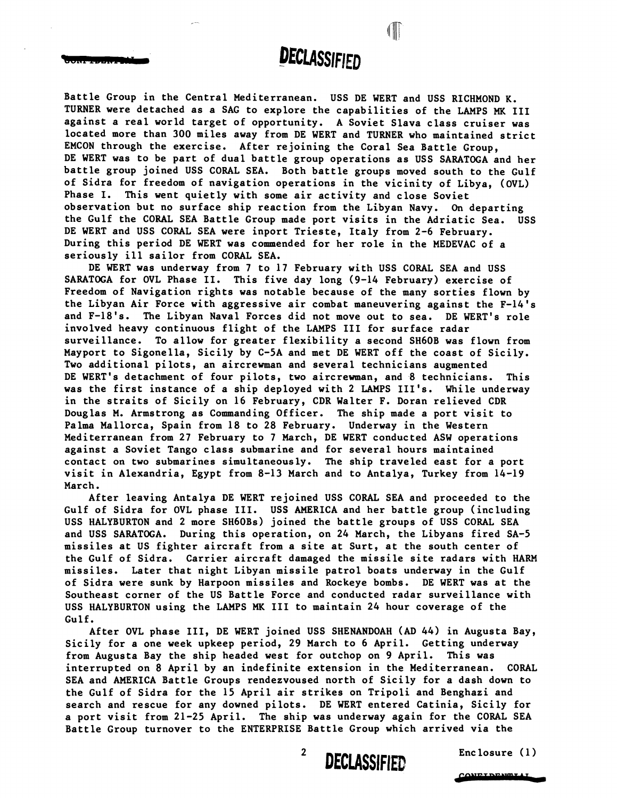# **DECLASSIFIED**

I

Battle Group in the Central Mediterranean. USS DE WERT and USS RICHMOND K. TURNER were detached as a SAG to explore the capabilities of the LAMPS **MK** 111 against a real world target of opportunity. A Soviet Slava class cruiser was located more than 300 miles away from DE WERT and TURNER who maintained strict EMCON through the exercise. After rejoining the Coral Sea Battle Group, DE WERT was to be part of dual battle group operations as USS SARATOGA and her battle group joined USS CORAL SEA. Both battle groups moved south to the Gulf of Sidra for freedom of navigation operations in the vicinity of Libya, (OVL) Phase I. This went quietly with some air activity and close Soviet observation but no surface ship reaction from the Libyan Navy. **On** departing the Gulf the CORAL SEA Battle Group made port visits in the Adriatic Sea. USS DE WERT and USS CORAL SEA were inport Trieste, Italy from 2-6 February. During this period DE WERT was commended for her role in the MEDEVAC of a seriously ill sailor from CORAL SEA.

DE WERT was underway from 7 to 17 February with USS CORAL SEA and USS SARATOGA for OVL Phase 11. This five day long (9-14 February) exercise of Freedom of Navigation rights was notable because of the many sorties flown by the Libyan Air Force with aggressive air combat maneuvering against the F-14's and F-18's. The Libyan Naval Forces did not move out to sea. DE WERT's role involved heavy continuous flight of the LAMPS I11 for surface radar surveillance. To allow for greater flexibility a second SH60B was flown from Mayport to Sigonella, Sicily by C-5A and met DE WERT off the coast of Sicily. Two additional pilots, an aircrewman and several technicians augmented DE WERT's detachment of four pilots, two aircrewman, and 8 technicians. This was the first instance of a ship deployed with 2 LAMPS 111's. While underway in the straits of Sicily on 16 February, CDR Walter F. Doran relieved CDR Douglas M. Armstrong as Commanding Officer. The ship made a port visit to Palma Mallorca, Spain from 18 to 28 February. Underway in the Western Mediterranean from 27 February to 7 March, DE WERT conducted ASW operations against a Soviet Tango class submarine and for several hours maintained contact on two submarines simultaneously. The ship traveled east for a port visit in Alexandria, Egypt from 8-13 March and to Antalya, Turkey from 14-19 March.

After leaving Antalya DE WERT rejoined USS CORAL SEA and proceeded to the Gulf of Sidra for OVL phase III. USS AMERICA and her battle group (including USS HALYBURTON and 2 more SH60Bs) joined the battle groups of USS CORAL SEA and USS SARATOGA. During this operation, on 24 March, the Libyans fired SA-5 missiles at US fighter aircraft from a site at Surt, at the south center of the Gulf of Sidra. Carrier aircraft damaged the missile site radars with HARM missiles. Later that night Libyan missile patrol boats underway in the Gulf of Sidra were sunk by Harpoon missiles and Rockeye bombs. DE WERT was at the Southeast corner of the US Battle Force and conducted radar surveillance with USS HALYBURTON using the LAMPS **MK** 111 to maintain 24 hour coverage of the Gulf.

After OVL phase 111, DE WERT joined USS SHENANDOAH (AD 44) in Augusta Bay, Sicily for a one week upkeep period, 29 March to 6 April. Getting underway from Augusta Bay the ship headed west for outchop on 9 April. This was interrupted on 8 April by an indefinite extension in the Mediterranean. CORAL SEA and AMERICA Battle Groups rendezvoused north of Sicily for a dash down to the Gulf of Sidra for the 15 April air strikes on Tripoli and Benghazi and search and rescue for any downed pilots. DE WERT entered Catinia, Sicily for a port visit from 21-25 April. The ahip was underway again for the CORAL SEA Battle Group turnover to the ENTERPRISE Battle Group which arrived via the

 $\overline{2}$ 

**DECLASSIFIED** Enclosure (1 )

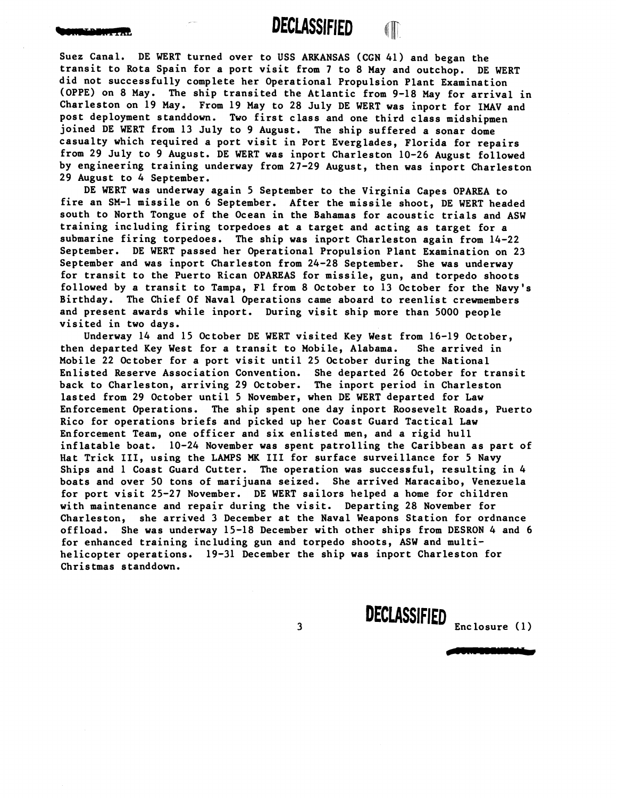**DECLASSIFIED** fip

Suez Canal. DE WERT turned over to USS ARKANSAS (CGN **41)** and began the transit to Rota Spain for a port visit from **7** to **8** May and outchop. DE WERT did not successfully complete her Operational Propulsion Plant Examination (OPPE) on **8** May. The ship transited the Atlantic from **9-18** May for arrival in Charleston on **19** May. From **19** May to **28** July DE WERT was inport for IMAV and post deployment standdown. Two first class and one third class midshipmen joined DE WERT from **13** July to **9** August. The ship suffered a sonar dome casualty which required a port visit in Port Everglades, Florida for repairs from **29** July to **9** August. DE WERT was inport Charleston **10-26** August followed by engineering training underway from **27-29** August, then was inport Charleston **29** August to **4** September.

DE WERT was underway again **5** September to the Virginia Capes OPAREA to fire an **SM-1** missile on **6** September. After the missile shoot, DE WERT headed south to North Tongue of the Ocean in the Bahamas for acoustic trials and ASW training including firing torpedoes at a target and acting as target for a submarine firing torpedoes. The ship was inport Charleston again from **14-22**  September. DE WERT passed her Operational Propulsion Plant Examination on **23**  September and was inport Charleston from **24-28** September. She was underway for transit to the Puerto Rican OPAREAS for missile, gun, and torpedo shoots followed by a transit to Tampa, F1 from 8 October to **13** October for the Navy's Birthday. The Chief Of Naval Operations came aboard to reenlist crewmembers and present awards while inport. During visit ship more than **5000** people visited in two days.

Underway **14** and **15** October DE WERT visited Key West from **16-19** October, then departed Key West for a transit to Mobile, Alabama. She arrived in Mobile **22** October for a port visit until **25** October during the National Enlisted Reserve Association Convention. She departed 26 October for transit back to Charleston, arriving **29** October. The inport period in Charleston lasted from **29** October until **5** November, when DE WERT departed for Law Enforcement Operations. The ship spent one day inport Roosevelt Roads, Puerto Rico for operations briefs and picked up her Coast Guard Tactical Law Enforcement Team, one officer and six enlisted men, and a rigid hull inflatable boat. **10-24** November was spent patrolling the Caribbean as part of Hat Trick 111, using the LAMPS **MK** 111 for surface surveillance for **5** Navy Ships and 1 Coast Guard Cutter. The operation was successful, resulting in **4**  boats and over **50** tons of marijuana seized. She arrived Maracaibo, Venezuela for port visit **25-27** November. DE WERT sailors helped a home for children with maintenance and repair during the visit. Departing **28** November for Charleston, she arrived **3** December at the Naval Weapons Station for ordnance offload. She was underway **15-18** December with other ships from DESRON **4** and **6**  for enhanced training including gun and torpedo shoots, ASW and multihelicopter operations. **19-31** December the ship was inport Charleston for Christmas standdown.

 $\mathbf{3}$ 

Enc losure ( **1** )

DECLASSIFIED